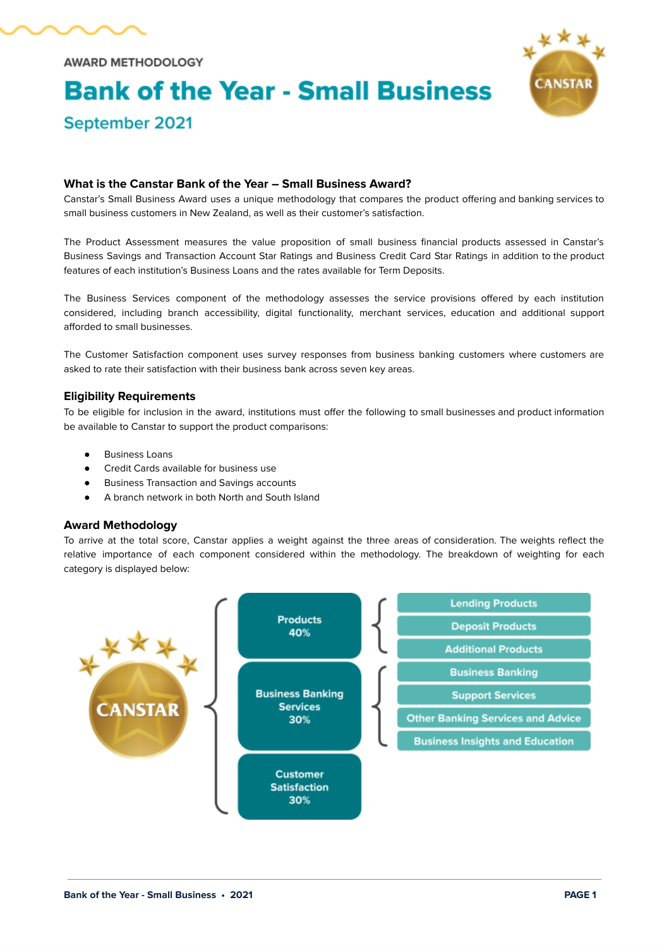

**AWARD METHODOLOGY** 

September 2021

# **Bank of the Year - Small Business**



# **What is the Canstar Bank of the Year – Small Business Award?**

Canstar's Small Business Award uses a unique methodology that compares the product offering and banking services to small business customers in New Zealand, as well as their customer's satisfaction.

The Product Assessment measures the value proposition of small business financial products assessed in Canstar's Business Savings and Transaction Account Star Ratings and Business Credit Card Star Ratings in addition to the product features of each institution's Business Loans and the rates available for Term Deposits.

The Business Services component of the methodology assesses the service provisions offered by each institution considered, including branch accessibility, digital functionality, merchant services, education and additional support afforded to small businesses.

The Customer Satisfaction component uses survey responses from business banking customers where customers are asked to rate their satisfaction with their business bank across seven key areas.

#### **Eligibility Requirements**

To be eligible for inclusion in the award, institutions must offer the following to small businesses and product information be available to Canstar to support the product comparisons:

- **Business Loans**
- Credit Cards available for business use
- **Business Transaction and Savings accounts**
- A branch network in both North and South Island

#### **Award Methodology**

To arrive at the total score, Canstar applies a weight against the three areas of consideration. The weights reflect the relative importance of each component considered within the methodology. The breakdown of weighting for each category is displayed below:

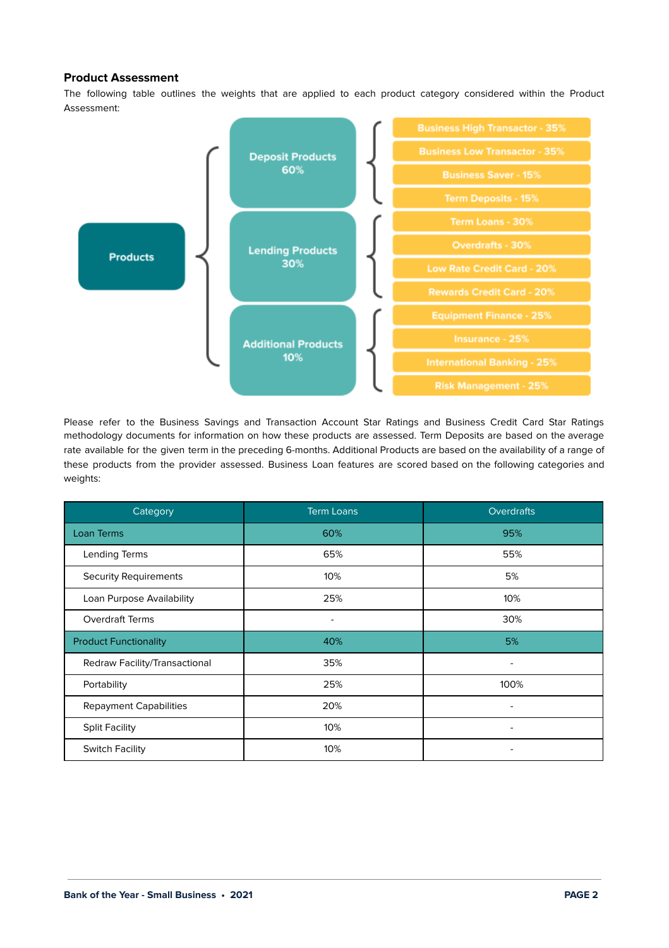# **Product Assessment**

The following table outlines the weights that are applied to each product category considered within the Product Assessment:



Please refer to the Business Savings and Transaction Account Star Ratings and Business Credit Card Star Ratings methodology documents for information on how these products are assessed. Term Deposits are based on the average rate available for the given term in the preceding 6-months. Additional Products are based on the availability of a range of these products from the provider assessed. Business Loan features are scored based on the following categories and weights:

| Category                      | <b>Term Loans</b> | Overdrafts               |
|-------------------------------|-------------------|--------------------------|
| Loan Terms                    | 60%               | 95%                      |
| Lending Terms                 | 65%               | 55%                      |
| <b>Security Requirements</b>  | 10%               | 5%                       |
| Loan Purpose Availability     | 25%               | 10%                      |
| <b>Overdraft Terms</b>        | ٠                 | 30%                      |
| <b>Product Functionality</b>  | 40%               | 5%                       |
| Redraw Facility/Transactional | 35%               | $\overline{\phantom{a}}$ |
| Portability                   | 25%               | 100%                     |
| <b>Repayment Capabilities</b> | 20%               |                          |
| <b>Split Facility</b>         | 10%               |                          |
| <b>Switch Facility</b>        | 10%               |                          |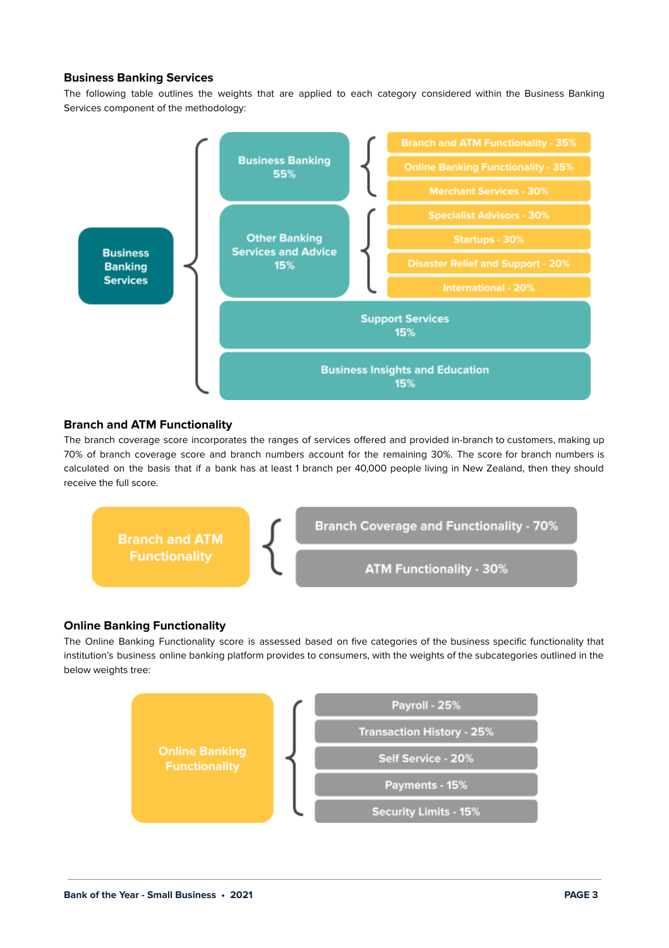# **Business Banking Services**

The following table outlines the weights that are applied to each category considered within the Business Banking Services component of the methodology:



# **Branch and ATM Functionality**

The branch coverage score incorporates the ranges of services offered and provided in-branch to customers, making up 70% of branch coverage score and branch numbers account for the remaining 30%. The score for branch numbers is calculated on the basis that if a bank has at least 1 branch per 40,000 people living in New Zealand, then they should receive the full score.



#### **Online Banking Functionality**

The Online Banking Functionality score is assessed based on five categories of the business specific functionality that institution's business online banking platform provides to consumers, with the weights of the subcategories outlined in the below weights tree:

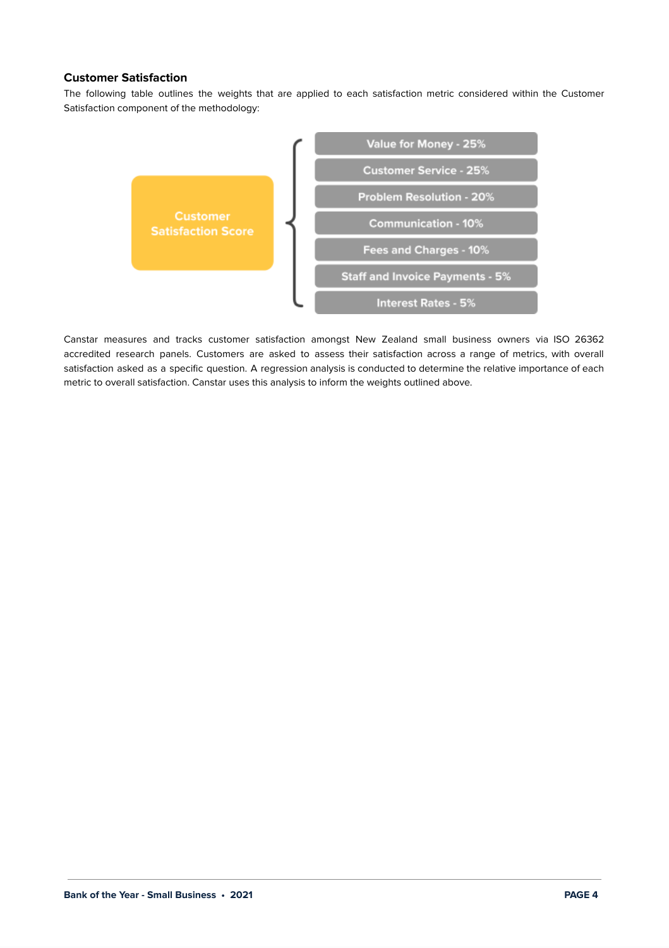# **Customer Satisfaction**

The following table outlines the weights that are applied to each satisfaction metric considered within the Customer Satisfaction component of the methodology:



Canstar measures and tracks customer satisfaction amongst New Zealand small business owners via ISO 26362 accredited research panels. Customers are asked to assess their satisfaction across a range of metrics, with overall satisfaction asked as a specific question. A regression analysis is conducted to determine the relative importance of each metric to overall satisfaction. Canstar uses this analysis to inform the weights outlined above.